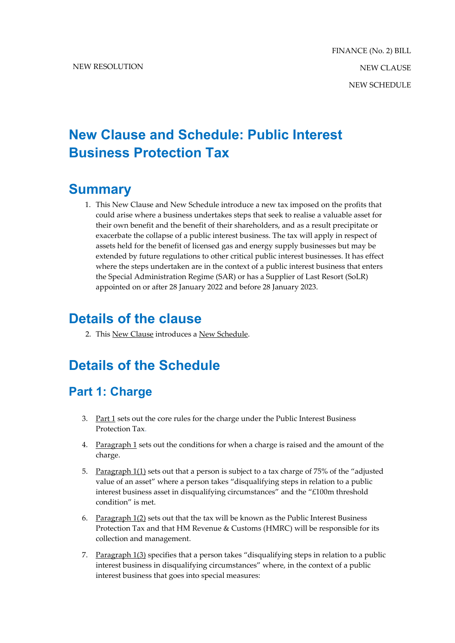# **New Clause and Schedule: Public Interest Business Protection Tax**

### **Summary**

1. This New Clause and New Schedule introduce a new tax imposed on the profits that could arise where a business undertakes steps that seek to realise a valuable asset for their own benefit and the benefit of their shareholders, and as a result precipitate or exacerbate the collapse of a public interest business. The tax will apply in respect of assets held for the benefit of licensed gas and energy supply businesses but may be extended by future regulations to other critical public interest businesses. It has effect where the steps undertaken are in the context of a public interest business that enters the Special Administration Regime (SAR) or has a Supplier of Last Resort (SoLR) appointed on or after 28 January 2022 and before 28 January 2023.

## **Details of the clause**

2. This New Clause introduces a New Schedule.

# **Details of the Schedule**

### **Part 1: Charge**

- 3. Part 1 sets out the core rules for the charge under the Public Interest Business Protection Tax.
- 4. Paragraph 1 sets out the conditions for when a charge is raised and the amount of the charge.
- 5. Paragraph 1(1) sets out that a person is subject to a tax charge of 75% of the "adjusted value of an asset" where a person takes "disqualifying steps in relation to a public interest business asset in disqualifying circumstances" and the "£100m threshold condition" is met.
- 6. Paragraph 1(2) sets out that the tax will be known as the Public Interest Business Protection Tax and that HM Revenue & Customs (HMRC) will be responsible for its collection and management.
- 7. Paragraph 1(3) specifies that a person takes "disqualifying steps in relation to a public interest business in disqualifying circumstances" where, in the context of a public interest business that goes into special measures: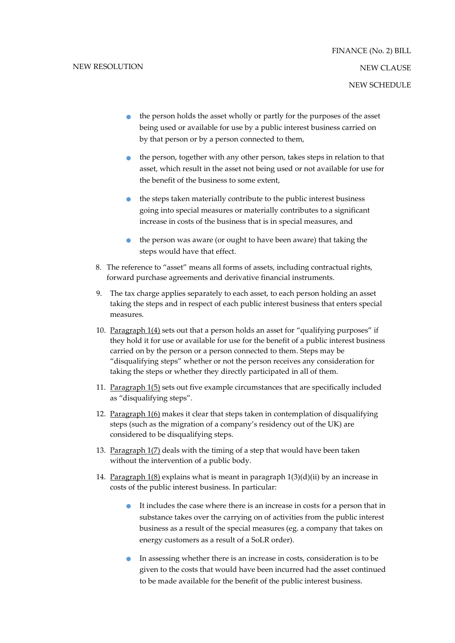- the person holds the asset wholly or partly for the purposes of the asset being used or available for use by a public interest business carried on by that person or by a person connected to them,
- the person, together with any other person, takes steps in relation to that asset, which result in the asset not being used or not available for use for the benefit of the business to some extent,
- the steps taken materially contribute to the public interest business going into special measures or materially contributes to a significant increase in costs of the business that is in special measures, and
- the person was aware (or ought to have been aware) that taking the steps would have that effect.
- 8. The reference to "asset" means all forms of assets, including contractual rights, forward purchase agreements and derivative financial instruments.
- 9. The tax charge applies separately to each asset, to each person holding an asset taking the steps and in respect of each public interest business that enters special measures.
- 10. Paragraph 1(4) sets out that a person holds an asset for "qualifying purposes" if they hold it for use or available for use for the benefit of a public interest business carried on by the person or a person connected to them. Steps may be "disqualifying steps" whether or not the person receives any consideration for taking the steps or whether they directly participated in all of them.
- 11. Paragraph 1(5) sets out five example circumstances that are specifically included as "disqualifying steps".
- 12. Paragraph 1(6) makes it clear that steps taken in contemplation of disqualifying steps (such as the migration of a company's residency out of the UK) are considered to be disqualifying steps.
- 13. Paragraph 1(7) deals with the timing of a step that would have been taken without the intervention of a public body.
- 14. Paragraph  $1(8)$  explains what is meant in paragraph  $1(3)(d)(ii)$  by an increase in costs of the public interest business. In particular:
	- It includes the case where there is an increase in costs for a person that in substance takes over the carrying on of activities from the public interest business as a result of the special measures (eg. a company that takes on energy customers as a result of a SoLR order).
	- In assessing whether there is an increase in costs, consideration is to be given to the costs that would have been incurred had the asset continued to be made available for the benefit of the public interest business.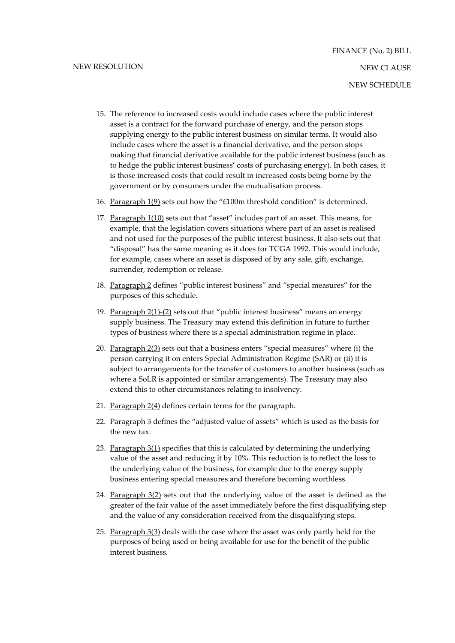- 15. The reference to increased costs would include cases where the public interest asset is a contract for the forward purchase of energy, and the person stops supplying energy to the public interest business on similar terms. It would also include cases where the asset is a financial derivative, and the person stops making that financial derivative available for the public interest business (such as to hedge the public interest business' costs of purchasing energy). In both cases, it is those increased costs that could result in increased costs being borne by the government or by consumers under the mutualisation process.
- 16. Paragraph 1(9) sets out how the "£100m threshold condition" is determined.
- 17. Paragraph 1(10) sets out that "asset" includes part of an asset. This means, for example, that the legislation covers situations where part of an asset is realised and not used for the purposes of the public interest business. It also sets out that "disposal" has the same meaning as it does for TCGA 1992. This would include, for example, cases where an asset is disposed of by any sale, gift, exchange, surrender, redemption or release.
- 18. Paragraph 2 defines "public interest business" and "special measures" for the purposes of this schedule.
- 19. Paragraph 2(1)-(2) sets out that "public interest business" means an energy supply business. The Treasury may extend this definition in future to further types of business where there is a special administration regime in place.
- 20. Paragraph 2(3) sets out that a business enters "special measures" where (i) the person carrying it on enters Special Administration Regime (SAR) or (ii) it is subject to arrangements for the transfer of customers to another business (such as where a SoLR is appointed or similar arrangements). The Treasury may also extend this to other circumstances relating to insolvency.
- 21. Paragraph 2(4) defines certain terms for the paragraph.
- 22. Paragraph 3 defines the "adjusted value of assets" which is used as the basis for the new tax.
- 23. Paragraph 3(1) specifies that this is calculated by determining the underlying value of the asset and reducing it by 10%. This reduction is to reflect the loss to the underlying value of the business, for example due to the energy supply business entering special measures and therefore becoming worthless.
- 24. Paragraph 3(2) sets out that the underlying value of the asset is defined as the greater of the fair value of the asset immediately before the first disqualifying step and the value of any consideration received from the disqualifying steps.
- 25. Paragraph 3(3) deals with the case where the asset was only partly held for the purposes of being used or being available for use for the benefit of the public interest business.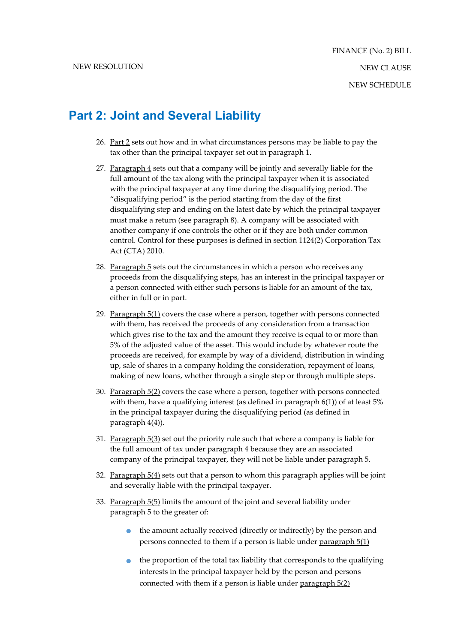#### **Part 2: Joint and Several Liability**

- 26. Part 2 sets out how and in what circumstances persons may be liable to pay the tax other than the principal taxpayer set out in paragraph 1.
- 27. Paragraph 4 sets out that a company will be jointly and severally liable for the full amount of the tax along with the principal taxpayer when it is associated with the principal taxpayer at any time during the disqualifying period. The "disqualifying period" is the period starting from the day of the first disqualifying step and ending on the latest date by which the principal taxpayer must make a return (see paragraph 8). A company will be associated with another company if one controls the other or if they are both under common control. Control for these purposes is defined in section 1124(2) Corporation Tax Act (CTA) 2010.
- 28. Paragraph 5 sets out the circumstances in which a person who receives any proceeds from the disqualifying steps, has an interest in the principal taxpayer or a person connected with either such persons is liable for an amount of the tax, either in full or in part.
- 29. Paragraph 5(1) covers the case where a person, together with persons connected with them, has received the proceeds of any consideration from a transaction which gives rise to the tax and the amount they receive is equal to or more than 5% of the adjusted value of the asset. This would include by whatever route the proceeds are received, for example by way of a dividend, distribution in winding up, sale of shares in a company holding the consideration, repayment of loans, making of new loans, whether through a single step or through multiple steps.
- 30. Paragraph 5(2) covers the case where a person, together with persons connected with them, have a qualifying interest (as defined in paragraph 6(1)) of at least 5% in the principal taxpayer during the disqualifying period (as defined in paragraph 4(4)).
- 31. Paragraph 5(3) set out the priority rule such that where a company is liable for the full amount of tax under paragraph 4 because they are an associated company of the principal taxpayer, they will not be liable under paragraph 5.
- 32. Paragraph  $5(4)$  sets out that a person to whom this paragraph applies will be joint and severally liable with the principal taxpayer.
- 33. Paragraph 5(5) limits the amount of the joint and several liability under paragraph 5 to the greater of:
	- the amount actually received (directly or indirectly) by the person and persons connected to them if a person is liable under paragraph 5(1)
	- $\bullet$  the proportion of the total tax liability that corresponds to the qualifying interests in the principal taxpayer held by the person and persons connected with them if a person is liable under paragraph 5(2)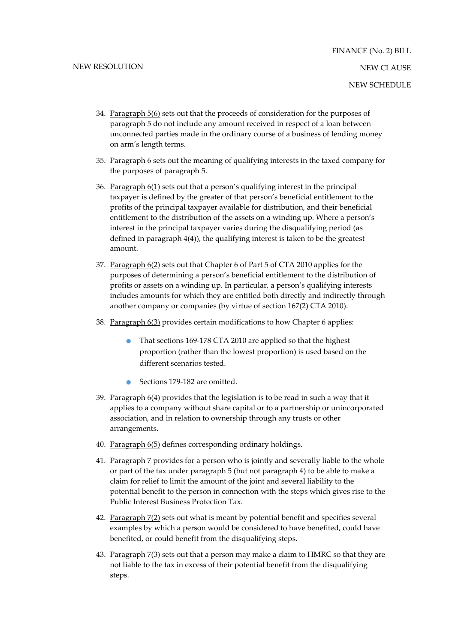- 34. Paragraph 5(6) sets out that the proceeds of consideration for the purposes of paragraph 5 do not include any amount received in respect of a loan between unconnected parties made in the ordinary course of a business of lending money on arm's length terms.
- 35. Paragraph  $6$  sets out the meaning of qualifying interests in the taxed company for the purposes of paragraph 5.
- 36. Paragraph 6(1) sets out that a person's qualifying interest in the principal taxpayer is defined by the greater of that person's beneficial entitlement to the profits of the principal taxpayer available for distribution, and their beneficial entitlement to the distribution of the assets on a winding up. Where a person's interest in the principal taxpayer varies during the disqualifying period (as defined in paragraph 4(4)), the qualifying interest is taken to be the greatest amount.
- 37. Paragraph 6(2) sets out that Chapter 6 of Part 5 of CTA 2010 applies for the purposes of determining a person's beneficial entitlement to the distribution of profits or assets on a winding up. In particular, a person's qualifying interests includes amounts for which they are entitled both directly and indirectly through another company or companies (by virtue of section 167(2) CTA 2010).
- 38. Paragraph 6(3) provides certain modifications to how Chapter 6 applies:
	- That sections 169-178 CTA 2010 are applied so that the highest proportion (rather than the lowest proportion) is used based on the different scenarios tested.
	- Sections 179-182 are omitted.
- 39. Paragraph 6(4) provides that the legislation is to be read in such a way that it applies to a company without share capital or to a partnership or unincorporated association, and in relation to ownership through any trusts or other arrangements.
- 40. Paragraph 6(5) defines corresponding ordinary holdings.
- 41. Paragraph 7 provides for a person who is jointly and severally liable to the whole or part of the tax under paragraph 5 (but not paragraph 4) to be able to make a claim for relief to limit the amount of the joint and several liability to the potential benefit to the person in connection with the steps which gives rise to the Public Interest Business Protection Tax.
- 42. Paragraph 7(2) sets out what is meant by potential benefit and specifies several examples by which a person would be considered to have benefited, could have benefited, or could benefit from the disqualifying steps.
- 43. Paragraph  $7(3)$  sets out that a person may make a claim to HMRC so that they are not liable to the tax in excess of their potential benefit from the disqualifying steps.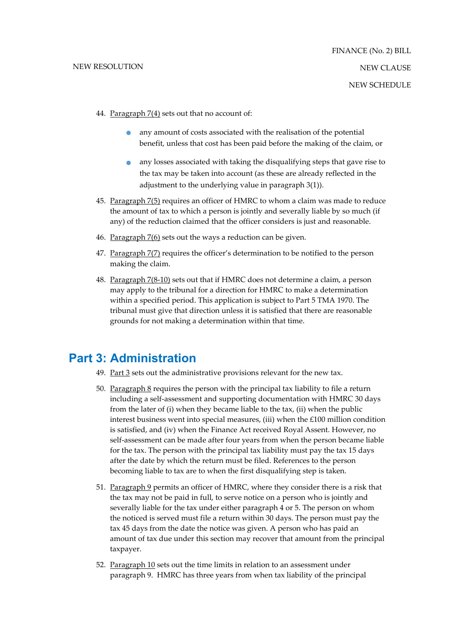- 44. Paragraph 7(4) sets out that no account of:
	- any amount of costs associated with the realisation of the potential benefit, unless that cost has been paid before the making of the claim, or
	- any losses associated with taking the disqualifying steps that gave rise to the tax may be taken into account (as these are already reflected in the adjustment to the underlying value in paragraph 3(1)).
- 45. Paragraph 7(5) requires an officer of HMRC to whom a claim was made to reduce the amount of tax to which a person is jointly and severally liable by so much (if any) of the reduction claimed that the officer considers is just and reasonable.
- 46. Paragraph 7(6) sets out the ways a reduction can be given.
- 47. Paragraph 7(7) requires the officer's determination to be notified to the person making the claim.
- 48. Paragraph 7(8-10) sets out that if HMRC does not determine a claim, a person may apply to the tribunal for a direction for HMRC to make a determination within a specified period. This application is subject to Part 5 TMA 1970. The tribunal must give that direction unless it is satisfied that there are reasonable grounds for not making a determination within that time.

#### **Part 3: Administration**

- 49. Part 3 sets out the administrative provisions relevant for the new tax.
- 50. Paragraph 8 requires the person with the principal tax liability to file a return including a self-assessment and supporting documentation with HMRC 30 days from the later of (i) when they became liable to the tax, (ii) when the public interest business went into special measures, (iii) when the £100 million condition is satisfied, and (iv) when the Finance Act received Royal Assent. However, no self-assessment can be made after four years from when the person became liable for the tax. The person with the principal tax liability must pay the tax 15 days after the date by which the return must be filed. References to the person becoming liable to tax are to when the first disqualifying step is taken.
- 51. Paragraph 9 permits an officer of HMRC, where they consider there is a risk that the tax may not be paid in full, to serve notice on a person who is jointly and severally liable for the tax under either paragraph 4 or 5. The person on whom the noticed is served must file a return within 30 days. The person must pay the tax 45 days from the date the notice was given. A person who has paid an amount of tax due under this section may recover that amount from the principal taxpayer.
- 52. Paragraph 10 sets out the time limits in relation to an assessment under paragraph 9. HMRC has three years from when tax liability of the principal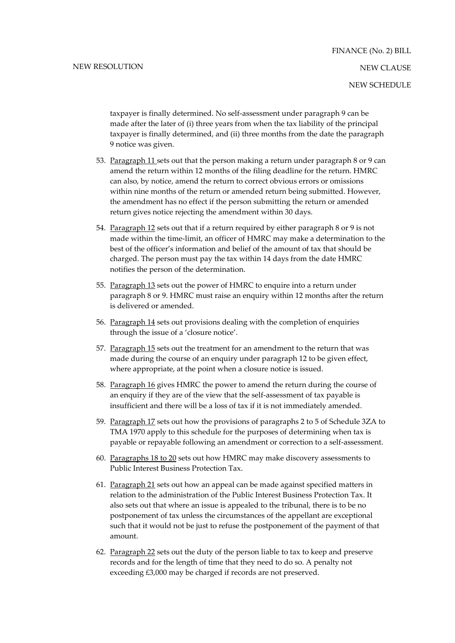taxpayer is finally determined. No self-assessment under paragraph 9 can be made after the later of (i) three years from when the tax liability of the principal taxpayer is finally determined, and (ii) three months from the date the paragraph 9 notice was given.

- 53. Paragraph 11 sets out that the person making a return under paragraph 8 or 9 can amend the return within 12 months of the filing deadline for the return. HMRC can also, by notice, amend the return to correct obvious errors or omissions within nine months of the return or amended return being submitted. However, the amendment has no effect if the person submitting the return or amended return gives notice rejecting the amendment within 30 days.
- 54. Paragraph 12 sets out that if a return required by either paragraph 8 or 9 is not made within the time-limit, an officer of HMRC may make a determination to the best of the officer's information and belief of the amount of tax that should be charged. The person must pay the tax within 14 days from the date HMRC notifies the person of the determination.
- 55. Paragraph 13 sets out the power of HMRC to enquire into a return under paragraph 8 or 9. HMRC must raise an enquiry within 12 months after the return is delivered or amended.
- 56. Paragraph 14 sets out provisions dealing with the completion of enquiries through the issue of a 'closure notice'.
- 57. Paragraph 15 sets out the treatment for an amendment to the return that was made during the course of an enquiry under paragraph 12 to be given effect, where appropriate, at the point when a closure notice is issued.
- 58. Paragraph 16 gives HMRC the power to amend the return during the course of an enquiry if they are of the view that the self-assessment of tax payable is insufficient and there will be a loss of tax if it is not immediately amended.
- 59. Paragraph 17 sets out how the provisions of paragraphs 2 to 5 of Schedule 3ZA to TMA 1970 apply to this schedule for the purposes of determining when tax is payable or repayable following an amendment or correction to a self-assessment.
- 60. Paragraphs 18 to 20 sets out how HMRC may make discovery assessments to Public Interest Business Protection Tax.
- 61. Paragraph 21 sets out how an appeal can be made against specified matters in relation to the administration of the Public Interest Business Protection Tax. It also sets out that where an issue is appealed to the tribunal, there is to be no postponement of tax unless the circumstances of the appellant are exceptional such that it would not be just to refuse the postponement of the payment of that amount.
- 62. Paragraph 22 sets out the duty of the person liable to tax to keep and preserve records and for the length of time that they need to do so. A penalty not exceeding £3,000 may be charged if records are not preserved.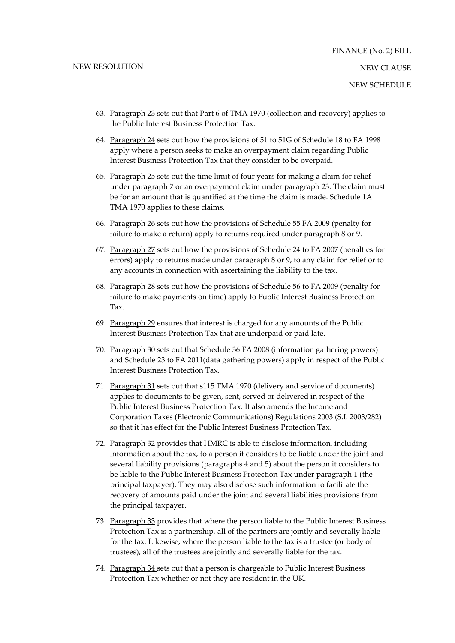- 63. Paragraph 23 sets out that Part 6 of TMA 1970 (collection and recovery) applies to the Public Interest Business Protection Tax.
- 64. Paragraph 24 sets out how the provisions of 51 to 51G of Schedule 18 to FA 1998 apply where a person seeks to make an overpayment claim regarding Public Interest Business Protection Tax that they consider to be overpaid.
- 65. Paragraph 25 sets out the time limit of four years for making a claim for relief under paragraph 7 or an overpayment claim under paragraph 23. The claim must be for an amount that is quantified at the time the claim is made. Schedule 1A TMA 1970 applies to these claims.
- 66. Paragraph 26 sets out how the provisions of Schedule 55 FA 2009 (penalty for failure to make a return) apply to returns required under paragraph 8 or 9.
- 67. Paragraph 27 sets out how the provisions of Schedule 24 to FA 2007 (penalties for errors) apply to returns made under paragraph 8 or 9, to any claim for relief or to any accounts in connection with ascertaining the liability to the tax.
- 68. Paragraph 28 sets out how the provisions of Schedule 56 to FA 2009 (penalty for failure to make payments on time) apply to Public Interest Business Protection Tax.
- 69. Paragraph 29 ensures that interest is charged for any amounts of the Public Interest Business Protection Tax that are underpaid or paid late.
- 70. Paragraph 30 sets out that Schedule 36 FA 2008 (information gathering powers) and Schedule 23 to FA 2011(data gathering powers) apply in respect of the Public Interest Business Protection Tax.
- 71. Paragraph 31 sets out that s115 TMA 1970 (delivery and service of documents) applies to documents to be given, sent, served or delivered in respect of the Public Interest Business Protection Tax. It also amends the Income and Corporation Taxes (Electronic Communications) Regulations 2003 (S.I. 2003/282) so that it has effect for the Public Interest Business Protection Tax.
- 72. Paragraph 32 provides that HMRC is able to disclose information, including information about the tax, to a person it considers to be liable under the joint and several liability provisions (paragraphs 4 and 5) about the person it considers to be liable to the Public Interest Business Protection Tax under paragraph 1 (the principal taxpayer). They may also disclose such information to facilitate the recovery of amounts paid under the joint and several liabilities provisions from the principal taxpayer.
- 73. Paragraph 33 provides that where the person liable to the Public Interest Business Protection Tax is a partnership, all of the partners are jointly and severally liable for the tax. Likewise, where the person liable to the tax is a trustee (or body of trustees), all of the trustees are jointly and severally liable for the tax.
- 74. Paragraph 34 sets out that a person is chargeable to Public Interest Business Protection Tax whether or not they are resident in the UK.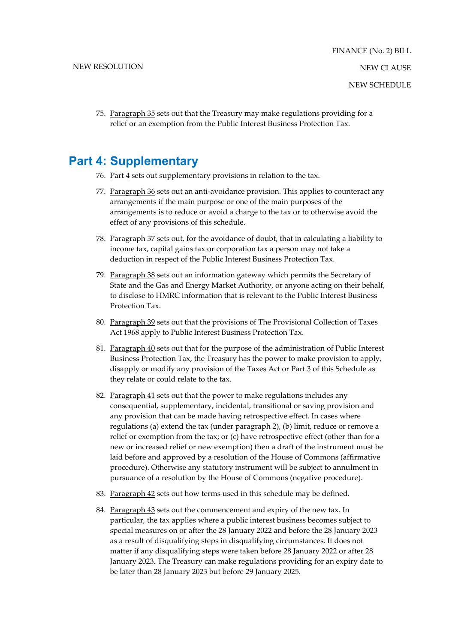75. Paragraph 35 sets out that the Treasury may make regulations providing for a relief or an exemption from the Public Interest Business Protection Tax.

#### **Part 4: Supplementary**

- 76. Part  $4$  sets out supplementary provisions in relation to the tax.
- 77. Paragraph 36 sets out an anti-avoidance provision. This applies to counteract any arrangements if the main purpose or one of the main purposes of the arrangements is to reduce or avoid a charge to the tax or to otherwise avoid the effect of any provisions of this schedule.
- 78. Paragraph 37 sets out, for the avoidance of doubt, that in calculating a liability to income tax, capital gains tax or corporation tax a person may not take a deduction in respect of the Public Interest Business Protection Tax.
- 79. Paragraph 38 sets out an information gateway which permits the Secretary of State and the Gas and Energy Market Authority, or anyone acting on their behalf, to disclose to HMRC information that is relevant to the Public Interest Business Protection Tax.
- 80. Paragraph 39 sets out that the provisions of The Provisional Collection of Taxes Act 1968 apply to Public Interest Business Protection Tax.
- 81. Paragraph 40 sets out that for the purpose of the administration of Public Interest Business Protection Tax, the Treasury has the power to make provision to apply, disapply or modify any provision of the Taxes Act or Part 3 of this Schedule as they relate or could relate to the tax.
- 82. Paragraph 41 sets out that the power to make regulations includes any consequential, supplementary, incidental, transitional or saving provision and any provision that can be made having retrospective effect. In cases where regulations (a) extend the tax (under paragraph 2), (b) limit, reduce or remove a relief or exemption from the tax; or (c) have retrospective effect (other than for a new or increased relief or new exemption) then a draft of the instrument must be laid before and approved by a resolution of the House of Commons (affirmative procedure). Otherwise any statutory instrument will be subject to annulment in pursuance of a resolution by the House of Commons (negative procedure).
- 83. Paragraph 42 sets out how terms used in this schedule may be defined.
- 84. Paragraph 43 sets out the commencement and expiry of the new tax. In particular, the tax applies where a public interest business becomes subject to special measures on or after the 28 January 2022 and before the 28 January 2023 as a result of disqualifying steps in disqualifying circumstances. It does not matter if any disqualifying steps were taken before 28 January 2022 or after 28 January 2023. The Treasury can make regulations providing for an expiry date to be later than 28 January 2023 but before 29 January 2025.